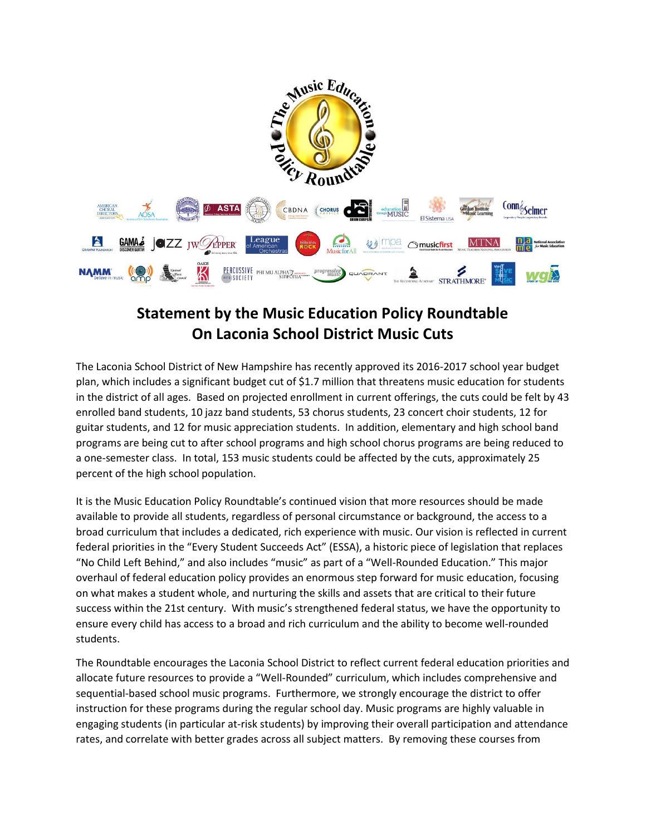

## **Statement by the Music Education Policy Roundtable On Laconia School District Music Cuts**

The Laconia School District of New Hampshire has recently approved its 2016-2017 school year budget plan, which includes a significant budget cut of \$1.7 million that threatens music education for students in the district of all ages. Based on projected enrollment in current offerings, the cuts could be felt by 43 enrolled band students, 10 jazz band students, 53 chorus students, 23 concert choir students, 12 for guitar students, and 12 for music appreciation students. In addition, elementary and high school band programs are being cut to after school programs and high school chorus programs are being reduced to a one-semester class. In total, 153 music students could be affected by the cuts, approximately 25 percent of the high school population.

It is the Music Education Policy Roundtable's continued vision that more resources should be made available to provide all students, regardless of personal circumstance or background, the access to a broad curriculum that includes a dedicated, rich experience with music. Our vision is reflected in current federal priorities in the "Every Student Succeeds Act" (ESSA), a historic piece of legislation that replaces "No Child Left Behind," and also includes "music" as part of a "Well-Rounded Education." This major overhaul of federal education policy provides an enormous step forward for music education, focusing on what makes a student whole, and nurturing the skills and assets that are critical to their future success within the 21st century. With music's strengthened federal status, we have the opportunity to ensure every child has access to a broad and rich curriculum and the ability to become well-rounded students.

The Roundtable encourages the Laconia School District to reflect current federal education priorities and allocate future resources to provide a "Well-Rounded" curriculum, which includes comprehensive and sequential-based school music programs. Furthermore, we strongly encourage the district to offer instruction for these programs during the regular school day. Music programs are highly valuable in engaging students (in particular at-risk students) by improving their overall participation and attendance rates, and correlate with better grades across all subject matters. By removing these courses from